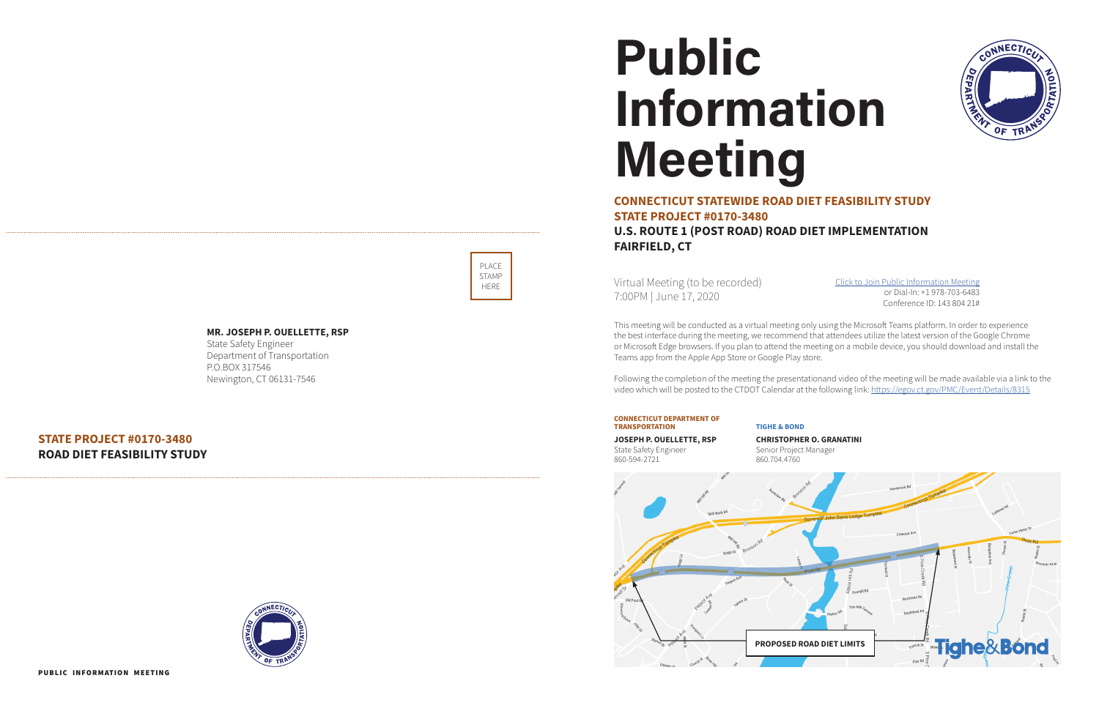



# **Public Information Meeting**

Virtual Meeting (to be recorded) 7:00PM | June 17, 2020

**JOSEPH P. OUELLETTE, RSP** State Safety Engineer 860-594-2721

#### **CHRISTOPHER O. GRANATINI** Senior Project Manager 860.704.4760



PLACE STAMP HERE

#### **MR. JOSEPH P. OUELLETTE, RSP**

State Safety Engineer Department of Transportation P.O.BOX 317546 Newington, CT 06131-7546

#### **CONNECTICUT STATEWIDE ROAD DIET FEASIBILITY STUDY STATE PROJECT #0170-3480 U.S. ROUTE 1 (POST ROAD) ROAD DIET IMPLEMENTATION FAIRFIELD, CT**

Following the completion of the meeting the presentationand video of the meeting will be made available via a link to the video which will be posted to the CTDOT Calendar at the following link:<https://egov.ct.gov/PMC/Event/Details/8315>

#### **STATE PROJECT #0170-3480 ROAD DIET FEASIBILITY STUDY**



**CONNECTICUT DEPARTMENT OF TRANSPORTATION TIGHE & BOND**

This meeting will be conducted as a virtual meeting only using the Microsoft Teams platform. In order to experience the best interface during the meeting, we recommend that attendees utilize the latest version of the Google Chrome or Microsoft Edge browsers. If you plan to attend the meeting on a mobile device, you should download and install the Teams app from the Apple App Store or Google Play store.

Click to [Join Public Information Meeting](https://teams.microsoft.com/l/meetup-join/19%3ameeting_NTQwODY5MzYtY2IxNi00NmU3LWFjMzQtYjljODAyN2E0NmIz%40thread.v2/0?context=%7b%22Tid%22%3a%226981813a-e8b9-4c65-af52-2bca6ad1f78d%22%2c%22Oid%22%3a%22fed3df07-8067-4eba-9292-d67713d82304%22%7d) or Dial-In: +1 978-703-6483 Conference ID: 143 804 21#